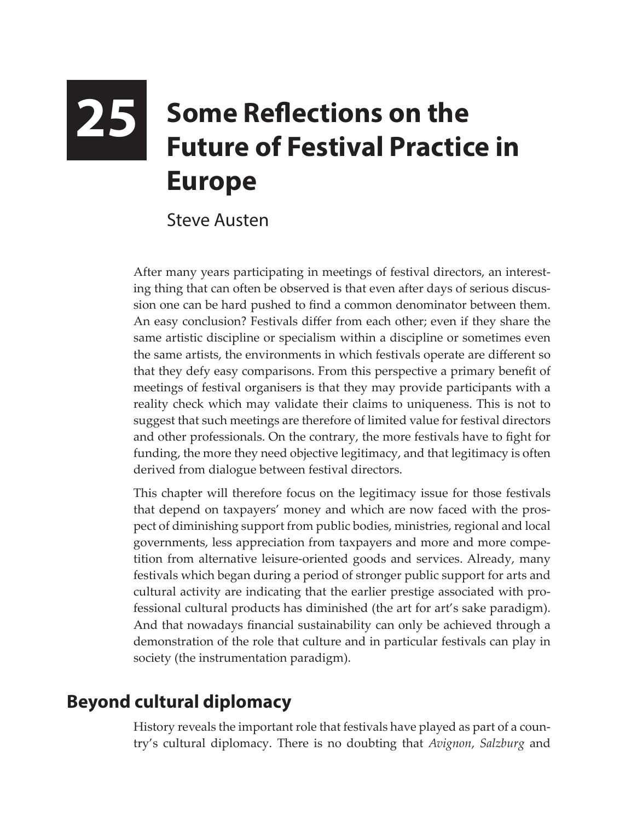# **25** Some Reflections on the **Passion State Boote Future of Festival Practice in Europe**

#### Steve Austen

After many years participating in meetings of festival directors, an interesting thing that can often be observed is that even after days of serious discussion one can be hard pushed to find a common denominator between them. An easy conclusion? Festivals differ from each other; even if they share the same artistic discipline or specialism within a discipline or sometimes even the same artists, the environments in which festivals operate are different so that they defy easy comparisons. From this perspective a primary benefit of meetings of festival organisers is that they may provide participants with a reality check which may validate their claims to uniqueness. This is not to suggest that such meetings are therefore of limited value for festival directors and other professionals. On the contrary, the more festivals have to fight for funding, the more they need objective legitimacy, and that legitimacy is often derived from dialogue between festival directors.

This chapter will therefore focus on the legitimacy issue for those festivals that depend on taxpayers' money and which are now faced with the prospect of diminishing support from public bodies, ministries, regional and local governments, less appreciation from taxpayers and more and more competition from alternative leisure-oriented goods and services. Already, many festivals which began during a period of stronger public support for arts and cultural activity are indicating that the earlier prestige associated with professional cultural products has diminished (the art for art's sake paradigm). And that nowadays financial sustainability can only be achieved through a demonstration of the role that culture and in particular festivals can play in society (the instrumentation paradigm).

## **Beyond cultural diplomacy**

History reveals the important role that festivals have played as part of a country's cultural diplomacy. There is no doubting that *Avignon*, *Salzburg* and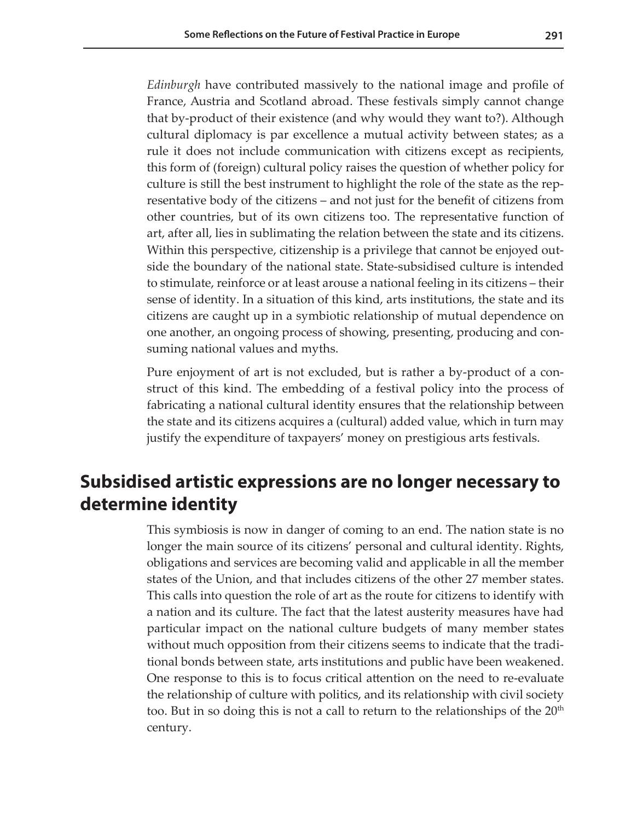*Edinburgh* have contributed massively to the national image and profile of France, Austria and Scotland abroad. These festivals simply cannot change that by-product of their existence (and why would they want to?). Although cultural diplomacy is par excellence a mutual activity between states; as a rule it does not include communication with citizens except as recipients, this form of (foreign) cultural policy raises the question of whether policy for culture is still the best instrument to highlight the role of the state as the representative body of the citizens – and not just for the benefit of citizens from other countries, but of its own citizens too. The representative function of art, after all, lies in sublimating the relation between the state and its citizens. Within this perspective, citizenship is a privilege that cannot be enjoyed outside the boundary of the national state. State-subsidised culture is intended to stimulate, reinforce or at least arouse a national feeling in its citizens – their sense of identity. In a situation of this kind, arts institutions, the state and its citizens are caught up in a symbiotic relationship of mutual dependence on one another, an ongoing process of showing, presenting, producing and consuming national values and myths.

Pure enjoyment of art is not excluded, but is rather a by-product of a construct of this kind. The embedding of a festival policy into the process of fabricating a national cultural identity ensures that the relationship between the state and its citizens acquires a (cultural) added value, which in turn may justify the expenditure of taxpayers' money on prestigious arts festivals.

### **Subsidised artistic expressions are no longer necessary to determine identity**

This symbiosis is now in danger of coming to an end. The nation state is no longer the main source of its citizens' personal and cultural identity. Rights, obligations and services are becoming valid and applicable in all the member states of the Union, and that includes citizens of the other 27 member states. This calls into question the role of art as the route for citizens to identify with a nation and its culture. The fact that the latest austerity measures have had particular impact on the national culture budgets of many member states without much opposition from their citizens seems to indicate that the traditional bonds between state, arts institutions and public have been weakened. One response to this is to focus critical attention on the need to re-evaluate the relationship of culture with politics, and its relationship with civil society too. But in so doing this is not a call to return to the relationships of the  $20<sup>th</sup>$ century.